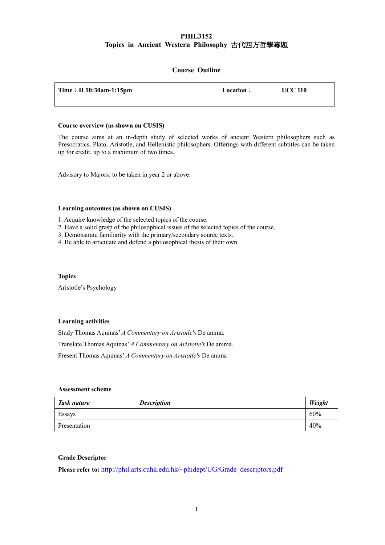# **PHIL3152 Topics in Ancient Western Philosophy** 古代西方哲學專題

## **Course Outline**

| Time : H $10:30$ am-1:15pm | Location: | <b>UCC 110</b> |
|----------------------------|-----------|----------------|
|                            |           |                |

#### **Course overview (as shown on CUSIS)**

The course aims at an in-depth study of selected works of ancient Western philosophers such as Presocratics, Plato, Aristotle, and Hellenistic philosophers. Offerings with different subtitles can be taken up for credit, up to a maximum of two times.

Advisory to Majors: to be taken in year 2 or above.

#### **Learning outcomes (as shown on CUSIS)**

1. Acquire knowledge of the selected topics of the course.

- 2. Have a solid grasp of the philosophical issues of the selected topics of the course.
- 3. Demonstrate familiarity with the primary/secondary source texts.
- 4. Be able to articulate and defend a philosophical thesis of their own.

#### **Topics**

Aristotle's Psychology

### **Learning activities**

Study Thomas Aquinas' *A Commentary on Aristotle's* De anima. Translate Thomas Aquinas' *A Commentary on Aristotle's* De anima. Present Thomas Aquinas' *A Commentary on Aristotle's* De anima

### **Assessment scheme**

| Task nature  | <b>Description</b> | Weight |
|--------------|--------------------|--------|
| Essays       |                    | 60%    |
| Presentation |                    | 40%    |

### **Grade Descriptor**

Please refer to: http://phil.arts.cuhk.edu.hk/~phidept/UG/Grade\_descriptors.pdf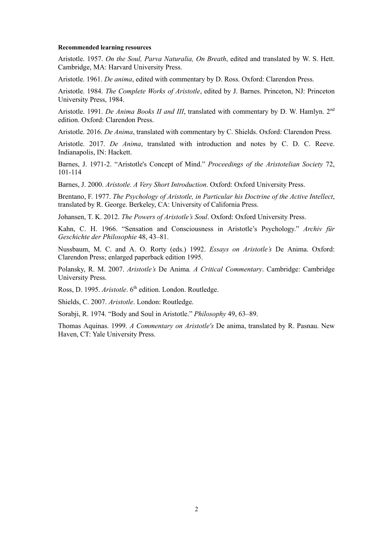#### **Recommended learning resources**

Aristotle. 1957. *On the Soul, Parva Naturalia, On Breath*, edited and translated by W. S. Hett. Cambridge, MA: Harvard University Press.

Aristotle. 1961. *De anima*, edited with commentary by D. Ross. Oxford: Clarendon Press.

Aristotle. 1984. *The Complete Works of Aristotle*, edited by J. Barnes. Princeton, NJ: Princeton University Press, 1984.

Aristotle. 1991. *De Anima Books II and III*, translated with commentary by D. W. Hamlyn. 2nd edition. Oxford: Clarendon Press.

Aristotle. 2016. *De Anima*, translated with commentary by C. Shields. Oxford: Clarendon Press.

Aristotle. 2017. *De Anima*, translated with introduction and notes by C. D. C. Reeve. Indianapolis, IN: Hackett.

Barnes, J. 1971-2. "Aristotle's Concept of Mind." *Proceedings of the Aristotelian Society* 72, 101-114

Barnes, J. 2000. *Aristotle. A Very Short Introduction*. Oxford: Oxford University Press.

Brentano, F. 1977. *The Psychology of Aristotle, in Particular his Doctrine of the Active Intellect*, translated by R. George. Berkeley, CA: University of California Press.

Johansen, T. K. 2012. *The Powers of Aristotle's Soul*. Oxford: Oxford University Press.

Kahn, C. H. 1966. "Sensation and Consciousness in Aristotle's Psychology." *Archiv für Geschichte der Philosophie* 48, 43–81.

Nussbaum, M. C. and A. O. Rorty (eds.) 1992. *Essays on Aristotle's* De Anima. Oxford: Clarendon Press; enlarged paperback edition 1995.

Polansky, R. M. 2007. *Aristotle's* De Anima*. A Critical Commentary*. Cambridge: Cambridge University Press.

Ross, D. 1995. *Aristotle*. 6<sup>th</sup> edition. London. Routledge.

Shields, C. 2007. *Aristotle*. London: Routledge.

Sorabji, R. 1974. "Body and Soul in Aristotle." *Philosophy* 49, 63–89.

Thomas Aquinas. 1999. *A Commentary on Aristotle's* De anima, translated by R. Pasnau. New Haven, CT: Yale University Press.